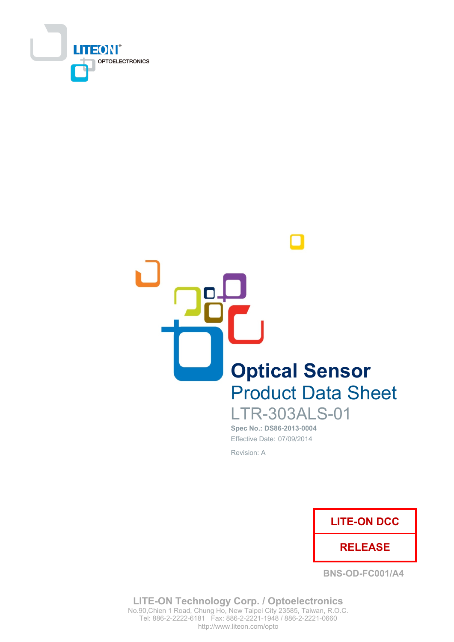



### **LTR-303ALS-01** Spec No.: DS86-2013-0004

Effective Date: 07/09/2014 Revision: A



**BNS-OD-FC001/A4** 

**LITE-ON Technology Corp. / Optoelectronics** No.90, Chien 1 Road, Chung Ho, New Taipei City 23585, Taiwan, R.O.C. Tel: 886-2-2222-6181 Fax: 886-2-2221-1948 / 886-2-2221-0660 http://www.liteon.com/opto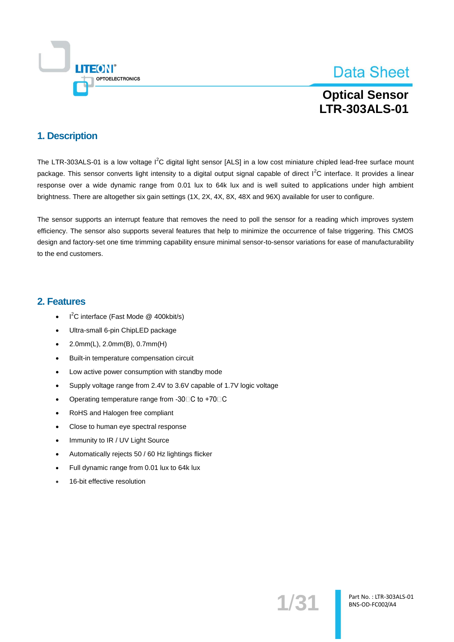

### **Optical Sensor LTR-303ALS-01**

### 1. Description

The LTR-303ALS-01 is a low voltage I<sup>2</sup>C digital light sensor [ALS] in a low cost miniature chipled lead-free surface mount package. This sensor converts light intensity to a digital output signal capable of direct  $1<sup>2</sup>C$  interface. It provides a linear response over a wide dynamic range from 0.01 lux to 64k lux and is well suited to applications under high ambient brightness. There are altogether six gain settings (1X, 2X, 4X, 8X, 48X and 96X) available for user to configure.

The sensor supports an interrupt feature that removes the need to poll the sensor for a reading which improves system efficiency. The sensor also supports several features that help to minimize the occurrence of false triggering. This CMOS design and factory-set one time trimming capability ensure minimal sensor-to-sensor variations for ease of manufacturability to the end customers.

### 2. Features

- $I^2C$  interface (Fast Mode @ 400kbit/s)  $\overline{\phantom{a}}$
- Ultra-small 6-pin ChipLED package  $\bullet$
- 2.0mm(L), 2.0mm(B), 0.7mm(H)  $\ddot{\phantom{0}}$
- Built-in temperature compensation circuit  $\bullet$
- Low active power consumption with standby mode  $\bullet$
- Supply voltage range from 2.4V to 3.6V capable of 1.7V logic voltage
- Operating temperature range from -30□C to +70□C  $\bullet$
- RoHS and Halogen free compliant  $\bullet$
- Close to human eye spectral response  $\ddot{\phantom{a}}$
- Immunity to IR / UV Light Source  $\bullet$
- Automatically rejects 50 / 60 Hz lightings flicker  $\bullet$
- Full dynamic range from 0.01 lux to 64k lux  $\ddot{\phantom{1}}$
- 16-bit effective resolution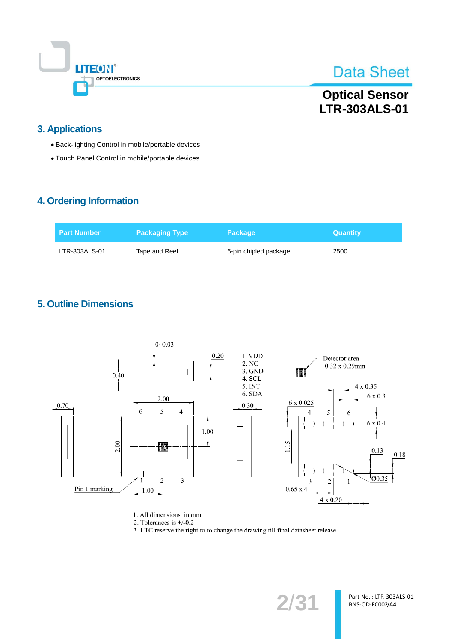

### **Optical Sensor** LTR-303ALS-01

### **3. Applications**

- Back-lighting Control in mobile/portable devices
- Touch Panel Control in mobile/portable devices

### 4. Ordering Information

| l Part Number | <b>Packaging Type</b> | <b>Package</b>        | <b>Quantity</b> |
|---------------|-----------------------|-----------------------|-----------------|
| LTR-303ALS-01 | Tape and Reel         | 6-pin chipled package | 2500            |

### **5. Outline Dimensions**



1. All dimensions in mm

2. Tolerances is  $+/0.2$ 

3. LTC reserve the right to to change the drawing till final datasheet release

 $2/31$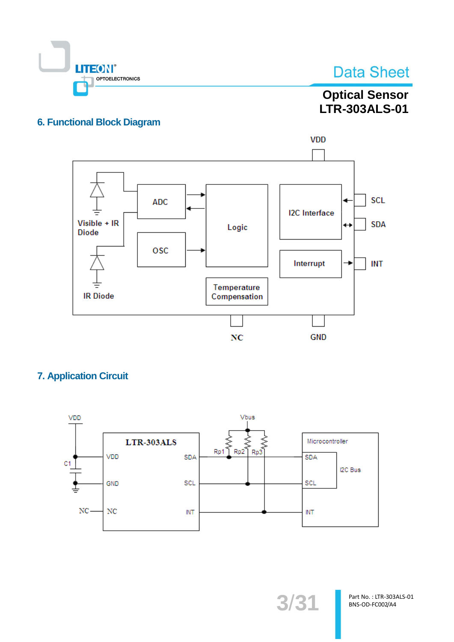

### **Optical Sensor** LTR-303ALS-01

### **6. Functional Block Diagram**



### **7. Application Circuit**



3/31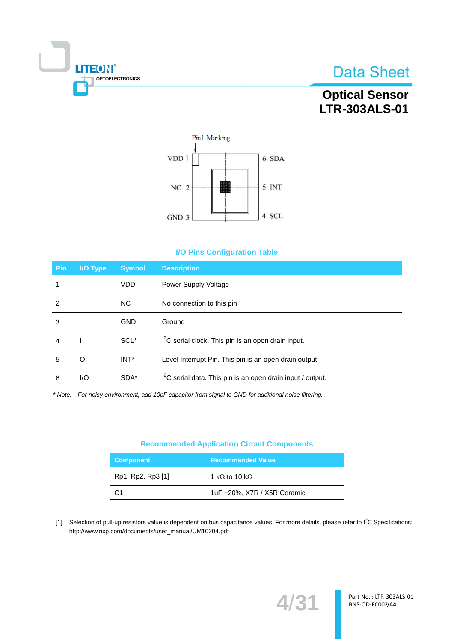

### **Optical Sensor** LTR-303ALS-01



#### **I/O Pins Configuration Table**

| <b>Pin</b> | I/O Type | <b>Symbol</b>    | <b>Description</b>                                                      |
|------------|----------|------------------|-------------------------------------------------------------------------|
| 1          |          | <b>VDD</b>       | Power Supply Voltage                                                    |
| 2          |          | NC.              | No connection to this pin                                               |
| 3          |          | <b>GND</b>       | Ground                                                                  |
| 4          |          | SCL <sup>*</sup> | I <sup>2</sup> C serial clock. This pin is an open drain input.         |
| 5          | O        | INT*             | Level Interrupt Pin. This pin is an open drain output.                  |
| 6          | I/O      | SDA*             | I <sup>2</sup> C serial data. This pin is an open drain input / output. |

\* Note: For noisy environment, add 10pF capacitor from signal to GND for additional noise filtering.

#### **Recommended Application Circuit Components**

| <b>Component</b>  | <b>Recommended Value</b>         |
|-------------------|----------------------------------|
| Rp1, Rp2, Rp3 [1] | 1 k $\Omega$ to 10 k $\Omega$    |
| C:1               | 1uF $\pm$ 20%, X7R / X5R Ceramic |

[1] Selection of pull-up resistors value is dependent on bus capacitance values. For more details, please refer to l<sup>2</sup>C Specifications: http://www.nxp.com/documents/user\_manual/UM10204.pdf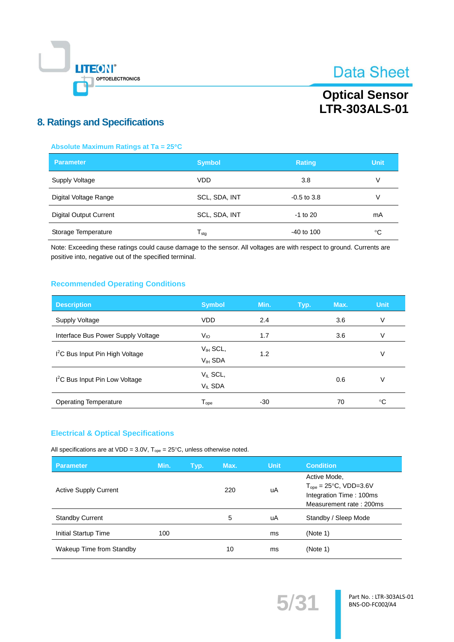

### **Optical Sensor LTR-303ALS-01**

### **8. Ratings and Specifications**

#### Absolute Maximum Ratings at Ta = 25°C

| <b>Parameter</b>              | <b>Symbol</b>              | <b>Rating</b> | <b>Unit</b> |
|-------------------------------|----------------------------|---------------|-------------|
| Supply Voltage                | <b>VDD</b>                 | 3.8           | V           |
| Digital Voltage Range         | SCL, SDA, INT              | $-0.5$ to 3.8 | V           |
| <b>Digital Output Current</b> | SCL, SDA, INT              | $-1$ to 20    | mA          |
| Storage Temperature           | ${\mathsf T}_{\text{stg}}$ | $-40$ to 100  | ℃           |

Note: Exceeding these ratings could cause damage to the sensor. All voltages are with respect to ground. Currents are positive into, negative out of the specified terminal.

#### **Recommended Operating Conditions**

| <b>Description</b>                          | <b>Symbol</b>                 | Min. | Typ. | Max. | <b>Unit</b> |
|---------------------------------------------|-------------------------------|------|------|------|-------------|
| <b>Supply Voltage</b>                       | <b>VDD</b>                    | 2.4  |      | 3.6  | V           |
| Interface Bus Power Supply Voltage          | $V_{10}$                      | 1.7  |      | 3.6  | V           |
| I <sup>2</sup> C Bus Input Pin High Voltage | $V_{IH}$ SCL,<br>$VIH$ SDA    | 1.2  |      |      | V           |
| I <sup>2</sup> C Bus Input Pin Low Voltage  | $V_{IL}$ SCL,<br>$V_{IL}$ SDA |      |      | 0.6  | V           |
| <b>Operating Temperature</b>                | ${\mathsf T}_{\text{ope}}$    | -30  |      | 70   | ℃           |

#### **Electrical & Optical Specifications**

All specifications are at VDD = 3.0V,  $T_{ope} = 25^{\circ}C$ , unless otherwise noted.

| <b>Parameter</b>             | Min. | Typ. | Max. | <b>Unit</b> | <b>Condition</b>                                                                                         |
|------------------------------|------|------|------|-------------|----------------------------------------------------------------------------------------------------------|
| <b>Active Supply Current</b> |      |      | 220  | uA          | Active Mode.<br>$T_{ope} = 25^{\circ}C$ , VDD=3.6V<br>Integration Time: 100ms<br>Measurement rate: 200ms |
| <b>Standby Current</b>       |      |      | 5    | uA          | Standby / Sleep Mode                                                                                     |
| Initial Startup Time         | 100  |      |      | ms          | (Note 1)                                                                                                 |
| Wakeup Time from Standby     |      |      | 10   | ms          | (Note 1)                                                                                                 |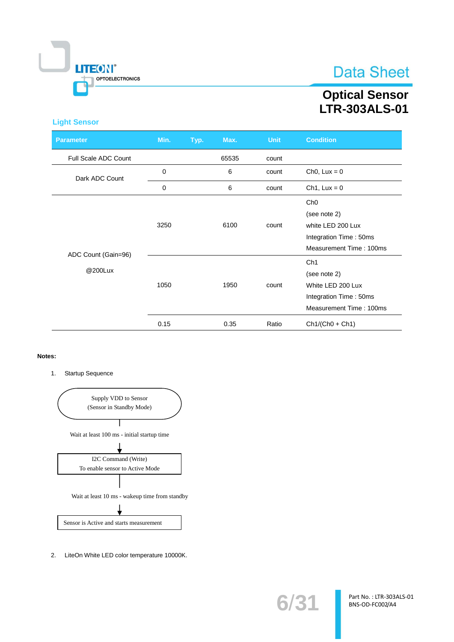

### **Optical Sensor LTR-303ALS-01**

#### **Light Sensor**

| <b>Parameter</b>               | Min. | Typ. | Max.  | <b>Unit</b> | <b>Condition</b>                                                                                          |
|--------------------------------|------|------|-------|-------------|-----------------------------------------------------------------------------------------------------------|
| Full Scale ADC Count           |      |      | 65535 | count       |                                                                                                           |
| Dark ADC Count                 | 0    |      | 6     | count       | Ch <sub>0</sub> , $Lux = 0$                                                                               |
|                                | 0    |      | 6     | count       | $Ch1, Lux = 0$                                                                                            |
|                                | 3250 |      | 6100  | count       | Ch <sub>0</sub><br>(see note 2)<br>white LED 200 Lux<br>Integration Time: 50ms<br>Measurement Time: 100ms |
| ADC Count (Gain=96)<br>@200Lux | 1050 |      | 1950  | count       | Ch <sub>1</sub><br>(see note 2)<br>White LED 200 Lux<br>Integration Time: 50ms<br>Measurement Time: 100ms |
|                                | 0.15 |      | 0.35  | Ratio       | $Ch1/(Ch0 + Ch1)$                                                                                         |

#### Notes:

Startup Sequence  $1.$ 



2. LiteOn White LED color temperature 10000K.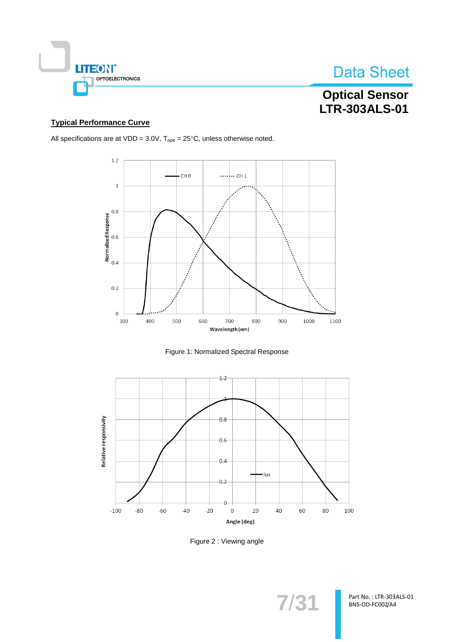

### **Optical Sensor** LTR-303ALS-01

#### **Typical Performance Curve**

All specifications are at VDD =  $3.0V$ ,  $T_{ope} = 25^{\circ}C$ , unless otherwise noted.







Figure 2: Viewing angle

 $7/31$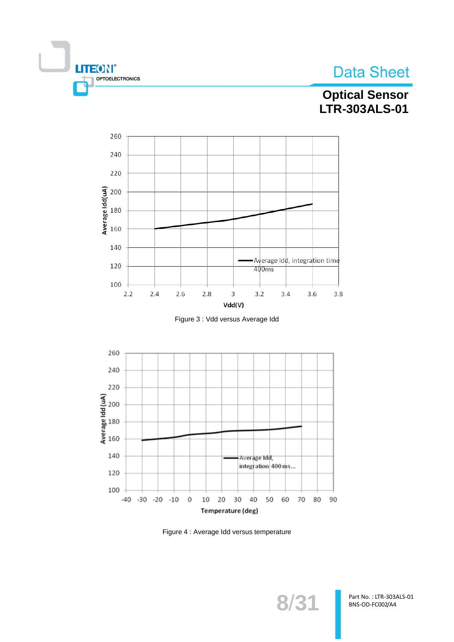





**THEON®** 

OPTOELECTRONICS





Figure 4 : Average Idd versus temperature

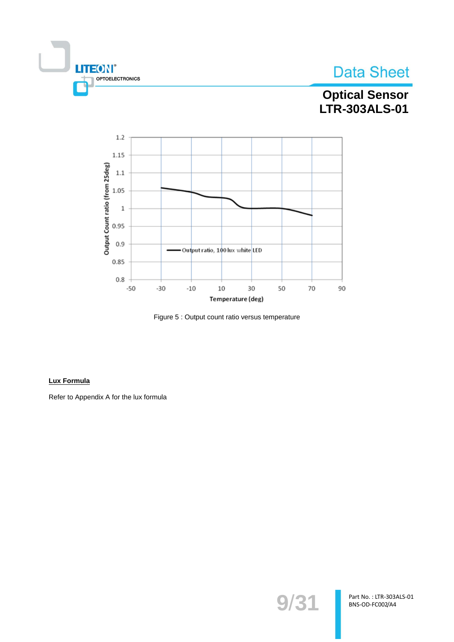

### **Optical Sensor** LTR-303ALS-01



Figure 5 : Output count ratio versus temperature

#### **Lux Formula**

Refer to Appendix A for the lux formula

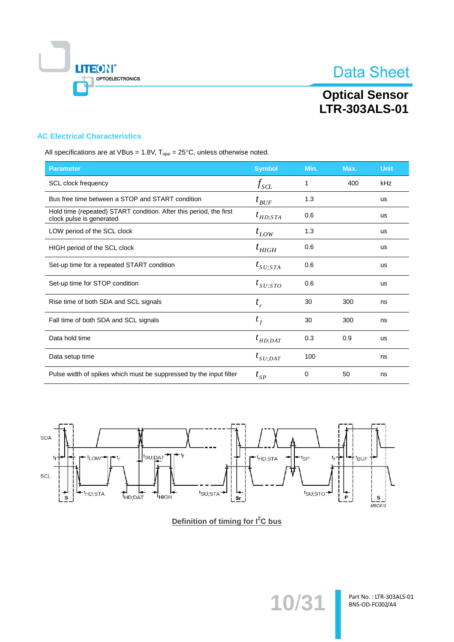

# **Optical Sensor<br>LTR-303ALS-01**

#### **AC Electrical Characteristics**

All specifications are at VBus = 1.8V,  $T_{ope} = 25^{\circ}C$ , unless otherwise noted.

| <b>Parameter</b>                                                                               | <b>Symbol</b>                     | Min. | Max. | <b>Unit</b> |
|------------------------------------------------------------------------------------------------|-----------------------------------|------|------|-------------|
| SCL clock frequency                                                                            | $f_{\rm SCL}$                     | 1    | 400  | kHz         |
| Bus free time between a STOP and START condition                                               | $t_{\mathit{BUF}}$                | 1.3  |      | <b>us</b>   |
| Hold time (repeated) START condition. After this period, the first<br>clock pulse is generated | $t_{HD;STA}$                      | 0.6  |      | <b>us</b>   |
| LOW period of the SCL clock                                                                    | $t_{LOW}$                         | 1.3  |      | <b>us</b>   |
| HIGH period of the SCL clock                                                                   | $t_{\rm \scriptscriptstyle HIGH}$ | 0.6  |      | <b>us</b>   |
| Set-up time for a repeated START condition                                                     | $t_{\textit{SU};STA}$             | 0.6  |      | <b>us</b>   |
| Set-up time for STOP condition                                                                 | $t_{\scriptscriptstyle SU;STO}$   | 0.6  |      | <b>us</b>   |
| Rise time of both SDA and SCL signals                                                          | $t_{r}$                           | 30   | 300  | ns          |
| Fall time of both SDA and SCL signals                                                          | $t_f$                             | 30   | 300  | ns          |
| Data hold time                                                                                 | $t_{HD;DAT}$                      | 0.3  | 0.9  | <b>us</b>   |
| Data setup time                                                                                | $t_{SU;DAT}$                      | 100  |      | ns          |
| Pulse width of spikes which must be suppressed by the input filter                             | $t_{\rm SP}$                      | 0    | 50   | ns          |



Definition of timing for I<sup>2</sup>C bus

10/31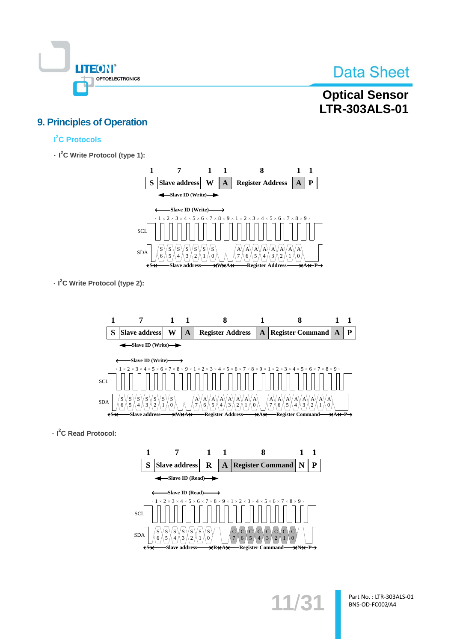

### **Optical Sensor LTR-303ALS-01**

### **9. Principles of Operation**

### l<sup>2</sup>C Protocols

 $\cdot$  I<sup>2</sup>C Write Protocol (type 1):



 $\cdot$  I<sup>2</sup>C Write Protocol (type 2):



 $\cdot$  I<sup>2</sup>C Read Protocol:



 $11/3$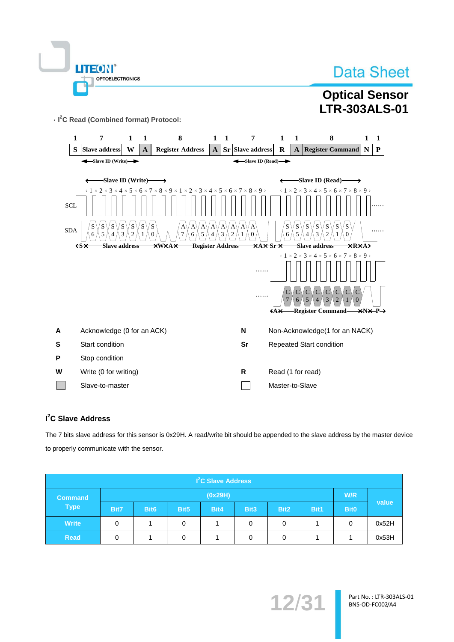|  | LITEON®                |  |
|--|------------------------|--|
|  | <b>OPTOELECTRONICS</b> |  |
|  |                        |  |

### **Optical Sensor LTR-303ALS-01**

· I<sup>2</sup>C Read (Combined format) Protocol:



#### I<sup>2</sup>C Slave Address

The 7 bits slave address for this sensor is 0x29H. A read/write bit should be appended to the slave address by the master device to properly communicate with the sensor.

| I <sup>2</sup> C Slave Address |         |                  |                  |      |      |                  |      |             |                    |
|--------------------------------|---------|------------------|------------------|------|------|------------------|------|-------------|--------------------|
| <b>Command</b>                 | (0x29H) |                  |                  |      |      |                  |      | W/R         |                    |
| <b>Type</b>                    | Bit7    | Bit <sub>6</sub> | Bit <sub>5</sub> | Bit4 | Bit3 | Bit <sub>2</sub> | Bit1 | <b>Bit0</b> | value <sup>1</sup> |
| <b>Write</b>                   | 0       |                  | 0                |      | 0    | 0                |      | 0           | 0x52H              |
| <b>Read</b>                    | 0       |                  | 0                |      | 0    | 0                |      |             | 0x53H              |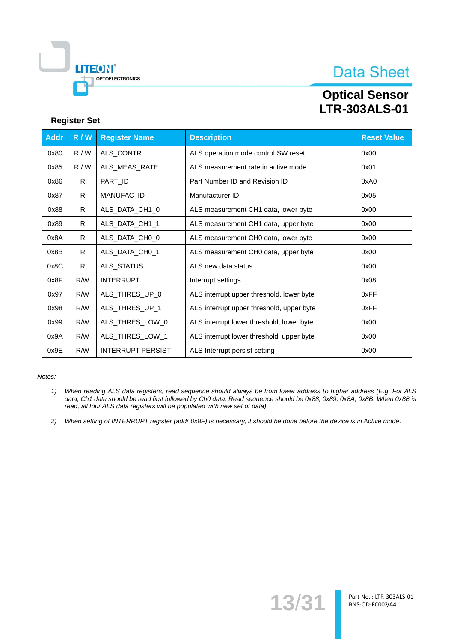

### **Optical Sensor LTR-303ALS-01**

#### **Register Set**

| <b>Addr</b> | R/N | <b>Register Name</b>     | <b>Description</b>                        | <b>Reset Value</b> |
|-------------|-----|--------------------------|-------------------------------------------|--------------------|
| 0x80        | R/W | ALS_CONTR                | ALS operation mode control SW reset       | 0x00               |
| 0x85        | R/W | ALS_MEAS_RATE            | ALS measurement rate in active mode       | 0x01               |
| 0x86        | R.  | PART_ID                  | Part Number ID and Revision ID            | 0xA0               |
| 0x87        | R   | MANUFAC_ID               | Manufacturer ID                           | 0x05               |
| 0x88        | R.  | ALS_DATA_CH1_0           | ALS measurement CH1 data, lower byte      | 0x00               |
| 0x89        | R.  | ALS_DATA_CH1_1           | ALS measurement CH1 data, upper byte      | 0x00               |
| 0x8A        | R   | ALS_DATA_CH0_0           | ALS measurement CH0 data, lower byte      | 0x00               |
| 0x8B        | R.  | ALS_DATA_CH0_1           | ALS measurement CH0 data, upper byte      | 0x00               |
| 0x8C        | R.  | ALS_STATUS               | ALS new data status                       | 0x00               |
| 0x8F        | R/W | <b>INTERRUPT</b>         | Interrupt settings                        | 0x08               |
| 0x97        | R/W | ALS_THRES_UP_0           | ALS interrupt upper threshold, lower byte | 0xFF               |
| 0x98        | R/W | ALS_THRES_UP_1           | ALS interrupt upper threshold, upper byte | 0xFF               |
| 0x99        | R/W | ALS_THRES_LOW_0          | ALS interrupt lower threshold, lower byte | 0x00               |
| 0x9A        | R/W | ALS_THRES_LOW_1          | ALS interrupt lower threshold, upper byte | 0x00               |
| 0x9E        | R/W | <b>INTERRUPT PERSIST</b> | ALS Interrupt persist setting             | 0x00               |

Notes:

- $1)$ When reading ALS data registers, read sequence should always be from lower address to higher address (E.g. For ALS data, Ch1 data should be read first followed by Ch0 data. Read sequence should be 0x88, 0x89, 0x8A, 0x8B. When 0x8B is read, all four ALS data registers will be populated with new set of data).
- 2) When setting of INTERRUPT register (addr 0x8F) is necessary, it should be done before the device is in Active mode.

13/31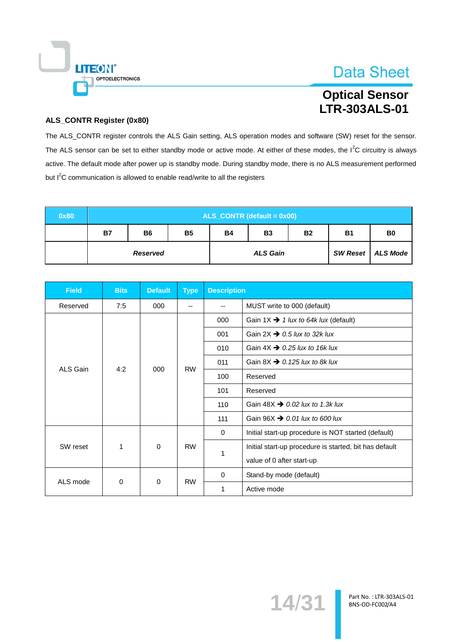

### **Optical Sensor LTR-303ALS-01**

#### **ALS\_CONTR Register (0x80)**

The ALS\_CONTR register controls the ALS Gain setting, ALS operation modes and software (SW) reset for the sensor. The ALS sensor can be set to either standby mode or active mode. At either of these modes, the  $1^2C$  circuitry is always active. The default mode after power up is standby mode. During standby mode, there is no ALS measurement performed but I<sup>2</sup>C communication is allowed to enable read/write to all the registers

| 0x80 | $ALS$ <sub>_</sub> CONTR (default = $0x00$ ) |                |           |                 |           |                     |           |                |
|------|----------------------------------------------|----------------|-----------|-----------------|-----------|---------------------|-----------|----------------|
|      | <b>B7</b>                                    | B <sub>6</sub> | <b>B5</b> | <b>B4</b>       | <b>B3</b> | <b>B2</b>           | <b>B1</b> | B <sub>0</sub> |
|      | <b>Reserved</b>                              |                |           | <b>ALS Gain</b> |           | SW Reset   ALS Mode |           |                |

| <b>Field</b> | <b>Bits</b>    | <b>Default</b> | <b>Type</b> | <b>Description</b>      |                                                        |
|--------------|----------------|----------------|-------------|-------------------------|--------------------------------------------------------|
| Reserved     | 7:5            | 000            | --          | --                      | MUST write to 000 (default)                            |
|              |                |                |             | 000                     | Gain 1X $\rightarrow$ 1 lux to 64k lux (default)       |
|              |                |                |             | 001                     | Gain 2X $\rightarrow$ 0.5 lux to 32k lux               |
|              |                |                |             | 010                     | Gain $4X \rightarrow 0.25$ lux to 16k lux              |
| ALS Gain     | 4:2            |                |             | 011                     | Gain 8X $\rightarrow$ 0.125 lux to 8k lux              |
|              |                | 000            | <b>RW</b>   | 100                     | Reserved                                               |
|              |                |                |             | 101                     | Reserved                                               |
|              |                |                |             | 110                     | Gain 48X $\rightarrow$ 0.02 lux to 1.3k lux            |
|              |                |                |             | 111                     | Gain $96X \rightarrow 0.01$ lux to 600 lux             |
|              |                |                |             | $\Omega$                | Initial start-up procedure is NOT started (default)    |
| SW reset     | 1              | $\mathbf 0$    | <b>RW</b>   | 1                       | Initial start-up procedure is started, bit has default |
|              |                |                |             |                         | value of 0 after start-up                              |
| ALS mode     | 0<br><b>RW</b> |                | $\Omega$    | Stand-by mode (default) |                                                        |
|              |                | 0              |             | 1                       | Active mode                                            |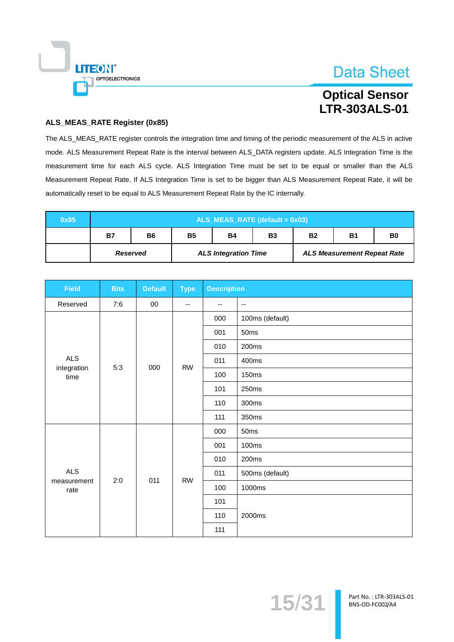

### **Optical Sensor LTR-303ALS-01**

#### ALS\_MEAS\_RATE Register (0x85)

The ALS\_MEAS\_RATE register controls the integration time and timing of the periodic measurement of the ALS in active mode. ALS Measurement Repeat Rate is the interval between ALS\_DATA registers update. ALS Integration Time is the measurement time for each ALS cycle. ALS Integration Time must be set to be equal or smaller than the ALS Measurement Repeat Rate. If ALS Integration Time is set to be bigger than ALS Measurement Repeat Rate, it will be automatically reset to be equal to ALS Measurement Repeat Rate by the IC internally.

| 0x85 |                 |                                                                           |  |                             |  |  |                                    |  |  |  |  |  |
|------|-----------------|---------------------------------------------------------------------------|--|-----------------------------|--|--|------------------------------------|--|--|--|--|--|
|      | <b>B7</b>       | <b>B5</b><br>B6<br><b>B2</b><br><b>B1</b><br>B0<br><b>B4</b><br><b>B3</b> |  |                             |  |  |                                    |  |  |  |  |  |
|      | <b>Reserved</b> |                                                                           |  | <b>ALS Integration Time</b> |  |  | <b>ALS Measurement Repeat Rate</b> |  |  |  |  |  |

| <b>Field</b>        | <b>Bits</b> | <b>Default</b> | <b>Type</b> | <b>Description</b> |                          |
|---------------------|-------------|----------------|-------------|--------------------|--------------------------|
| Reserved            | 7:6         | $00\,$         | --          | --                 | $\overline{\phantom{a}}$ |
|                     |             |                |             | 000                | 100ms (default)          |
|                     |             |                |             | 001                | 50ms                     |
|                     |             |                |             | 010                | 200ms                    |
| <b>ALS</b>          | 5:3         | 000            | <b>RW</b>   | 011                | 400ms                    |
| integration<br>time |             |                |             | 100                | <b>150ms</b>             |
|                     |             |                |             | 101                | 250ms                    |
|                     |             |                |             | 110                | 300ms                    |
|                     |             |                |             | 111                | 350ms                    |
|                     |             |                |             | 000                | 50ms                     |
|                     |             |                |             | 001                | 100ms                    |
|                     |             |                |             | 010                | 200ms                    |
| <b>ALS</b>          | 2:0         | 011            | <b>RW</b>   | 011                | 500ms (default)          |
| measurement<br>rate |             |                |             | 100                | 1000ms                   |
|                     |             |                |             | 101                |                          |
|                     |             |                |             | 110                | 2000ms                   |
|                     |             |                |             | 111                |                          |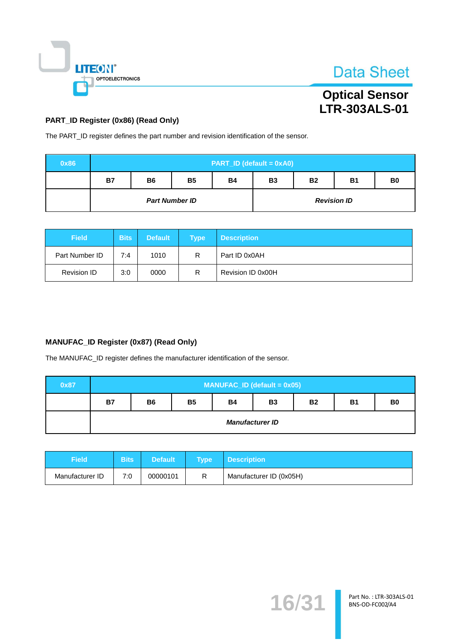

### **Optical Sensor** LTR-303ALS-01

#### PART\_ID Register (0x86) (Read Only)

The PART\_ID register defines the part number and revision identification of the sensor.

| 0x86 | PART_ID (default = 0xA0) |                                                                                              |                       |  |                    |  |  |  |  |  |  |  |
|------|--------------------------|----------------------------------------------------------------------------------------------|-----------------------|--|--------------------|--|--|--|--|--|--|--|
|      | <b>B7</b>                | <b>B5</b><br><b>B2</b><br><b>B1</b><br><b>B6</b><br><b>B3</b><br><b>B4</b><br>B <sub>0</sub> |                       |  |                    |  |  |  |  |  |  |  |
|      |                          |                                                                                              | <b>Part Number ID</b> |  | <b>Revision ID</b> |  |  |  |  |  |  |  |

| <b>Field</b>       | <b>Bits</b> | <b>Default</b> | Type | <b>Description</b> |
|--------------------|-------------|----------------|------|--------------------|
| Part Number ID     | 7:4         | 1010           | R    | Part ID 0x0AH      |
| <b>Revision ID</b> | 3:0         | 0000           |      | Revision ID 0x00H  |

#### MANUFAC\_ID Register (0x87) (Read Only)

The MANUFAC\_ID register defines the manufacturer identification of the sensor.

| 0x87 | $MANUFACID$ (default = 0x05) |                                                                                              |  |  |  |  |  |  |  |  |  |  |
|------|------------------------------|----------------------------------------------------------------------------------------------|--|--|--|--|--|--|--|--|--|--|
|      | <b>B7</b>                    | <b>B4</b><br><b>B5</b><br><b>B2</b><br><b>B1</b><br>B <sub>0</sub><br><b>B3</b><br><b>B6</b> |  |  |  |  |  |  |  |  |  |  |
|      |                              | <b>Manufacturer ID</b>                                                                       |  |  |  |  |  |  |  |  |  |  |

| Field           | <b>Bits</b> | <b>Default</b> | <b>Type</b> | <b>Description</b>      |
|-----------------|-------------|----------------|-------------|-------------------------|
| Manufacturer ID | 7:0         | 00000101       | R           | Manufacturer ID (0x05H) |

 $16/3$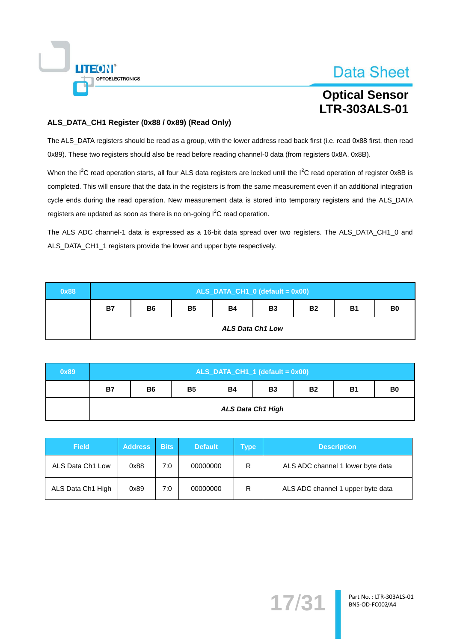

### **Optical Sensor LTR-303ALS-01**

#### ALS\_DATA\_CH1 Register (0x88 / 0x89) (Read Only)

The ALS\_DATA registers should be read as a group, with the lower address read back first (i.e. read 0x88 first, then read 0x89). These two registers should also be read before reading channel-0 data (from registers 0x8A, 0x8B).

When the I<sup>2</sup>C read operation starts, all four ALS data registers are locked until the I<sup>2</sup>C read operation of register 0x8B is completed. This will ensure that the data in the registers is from the same measurement even if an additional integration cycle ends during the read operation. New measurement data is stored into temporary registers and the ALS\_DATA registers are updated as soon as there is no on-going  $I<sup>2</sup>C$  read operation.

The ALS ADC channel-1 data is expressed as a 16-bit data spread over two registers. The ALS\_DATA\_CH1\_0 and ALS\_DATA\_CH1\_1 registers provide the lower and upper byte respectively.

| 0x88 | $ALS$ _DATA_CH1_0 (default = 0x00)                                                            |                         |  |  |  |  |  |  |  |  |  |
|------|-----------------------------------------------------------------------------------------------|-------------------------|--|--|--|--|--|--|--|--|--|
|      | <b>B5</b><br><b>B4</b><br><b>B3</b><br><b>B7</b><br><b>B2</b><br><b>B1</b><br><b>B6</b><br>B0 |                         |  |  |  |  |  |  |  |  |  |
|      |                                                                                               | <b>ALS Data Ch1 Low</b> |  |  |  |  |  |  |  |  |  |

| 0x89 | $ALS$ _DATA_CH1_1 (default = 0x00) |                                                                                              |  |  |  |  |  |  |  |  |  |  |
|------|------------------------------------|----------------------------------------------------------------------------------------------|--|--|--|--|--|--|--|--|--|--|
|      | <b>B7</b>                          | <b>B4</b><br><b>B3</b><br><b>B5</b><br>B <sub>0</sub><br><b>B2</b><br><b>B1</b><br><b>B6</b> |  |  |  |  |  |  |  |  |  |  |
|      |                                    | <b>ALS Data Ch1 High</b>                                                                     |  |  |  |  |  |  |  |  |  |  |

| <b>Field</b>      | <b>Bits</b><br><b>Address</b> |     | <b>Default</b><br>Type |   | <b>Description</b>                |  |
|-------------------|-------------------------------|-----|------------------------|---|-----------------------------------|--|
| ALS Data Ch1 Low  | 0x88                          | 7:0 | 00000000               | R | ALS ADC channel 1 lower byte data |  |
| ALS Data Ch1 High | 0x89                          | 7:0 | 00000000               | R | ALS ADC channel 1 upper byte data |  |

 $17/3$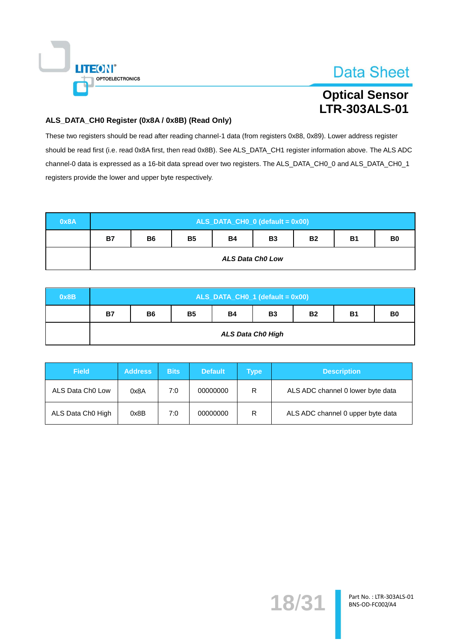

### **Optical Sensor LTR-303ALS-01**

#### ALS\_DATA\_CH0 Register (0x8A / 0x8B) (Read Only)

These two registers should be read after reading channel-1 data (from registers 0x88, 0x89). Lower address register should be read first (i.e. read 0x8A first, then read 0x8B). See ALS\_DATA\_CH1 register information above. The ALS ADC channel-0 data is expressed as a 16-bit data spread over two registers. The ALS\_DATA\_CH0\_0 and ALS\_DATA\_CH0\_1 registers provide the lower and upper byte respectively.

| 0x8A | ALS_DATA_CH0_0 (default = 0x00) |                         |           |           |           |           |           |                |  |  |  |
|------|---------------------------------|-------------------------|-----------|-----------|-----------|-----------|-----------|----------------|--|--|--|
|      | <b>B7</b>                       | <b>B6</b>               | <b>B5</b> | <b>B4</b> | <b>B3</b> | <b>B2</b> | <b>B1</b> | B <sub>0</sub> |  |  |  |
|      |                                 | <b>ALS Data Ch0 Low</b> |           |           |           |           |           |                |  |  |  |

| 0x8B | $ALS$ _DATA_CH0_1 (default = 0x00) |                                                                                              |  |  |  |  |  |  |  |  |  |  |
|------|------------------------------------|----------------------------------------------------------------------------------------------|--|--|--|--|--|--|--|--|--|--|
|      | <b>B7</b>                          | <b>B5</b><br><b>B4</b><br><b>B3</b><br>B <sub>0</sub><br><b>B1</b><br><b>B6</b><br><b>B2</b> |  |  |  |  |  |  |  |  |  |  |
|      |                                    | <b>ALS Data Ch0 High</b>                                                                     |  |  |  |  |  |  |  |  |  |  |

| <b>Field</b>                 | <b>Address</b> | <b>Bits</b> | <b>Default</b> | Type | <b>Description</b>                |
|------------------------------|----------------|-------------|----------------|------|-----------------------------------|
| ALS Data Ch <sub>0</sub> Low | 0x8A           | 7:0         | 00000000       | R    | ALS ADC channel 0 lower byte data |
| ALS Data Ch0 High            | 0x8B           | 7:0         | 00000000       | R    | ALS ADC channel 0 upper byte data |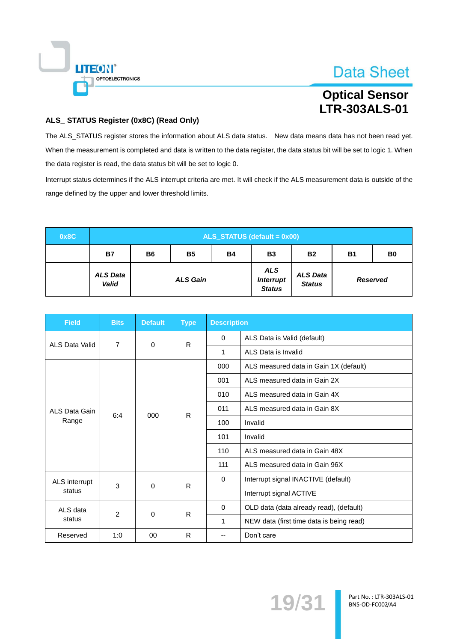

### **Optical Sensor LTR-303ALS-01**

#### ALS\_ STATUS Register (0x8C) (Read Only)

The ALS\_STATUS register stores the information about ALS data status. New data means data has not been read yet. When the measurement is completed and data is written to the data register, the data status bit will be set to logic 1. When the data register is read, the data status bit will be set to logic 0.

Interrupt status determines if the ALS interrupt criteria are met. It will check if the ALS measurement data is outside of the range defined by the upper and lower threshold limits.

| 0x8C |                                 | $ALS\_STATUS$ (default = 0x00) |                 |           |                                                 |                                  |           |                 |  |  |  |
|------|---------------------------------|--------------------------------|-----------------|-----------|-------------------------------------------------|----------------------------------|-----------|-----------------|--|--|--|
|      | <b>B7</b>                       | <b>B6</b>                      | <b>B5</b>       | <b>B4</b> | <b>B3</b>                                       | <b>B2</b>                        | <b>B1</b> | B <sub>0</sub>  |  |  |  |
|      | <b>ALS Data</b><br><b>Valid</b> |                                | <b>ALS Gain</b> |           | <b>ALS</b><br><b>Interrupt</b><br><b>Status</b> | <b>ALS Data</b><br><b>Status</b> |           | <b>Reserved</b> |  |  |  |

| <b>Field</b>   | <b>Bits</b>    | <b>Default</b> | <b>Type</b>  | <b>Description</b> |                                          |
|----------------|----------------|----------------|--------------|--------------------|------------------------------------------|
| ALS Data Valid | $\overline{7}$ | $\Omega$       | R            | $\Omega$           | ALS Data is Valid (default)              |
|                |                |                |              | 1                  | ALS Data is Invalid                      |
|                |                |                |              | 000                | ALS measured data in Gain 1X (default)   |
|                |                |                |              | 001                | ALS measured data in Gain 2X             |
|                |                |                |              | 010                | ALS measured data in Gain 4X             |
| ALS Data Gain  | 6:4            |                | R            | 011                | ALS measured data in Gain 8X             |
| Range          |                | 000            |              | 100                | Invalid                                  |
|                |                |                |              | 101                | Invalid                                  |
|                |                |                |              | 110                | ALS measured data in Gain 48X            |
|                |                |                |              | 111                | ALS measured data in Gain 96X            |
| ALS interrupt  | 3              |                | $\mathsf{R}$ | $\Omega$           | Interrupt signal INACTIVE (default)      |
| status         |                | 0              |              |                    | Interrupt signal ACTIVE                  |
| ALS data       |                |                |              | $\Omega$           | OLD data (data already read), (default)  |
| status         | $\overline{2}$ | 0              | R            | 1                  | NEW data (first time data is being read) |
| Reserved       | 1:0            | 00             | R            | --                 | Don't care                               |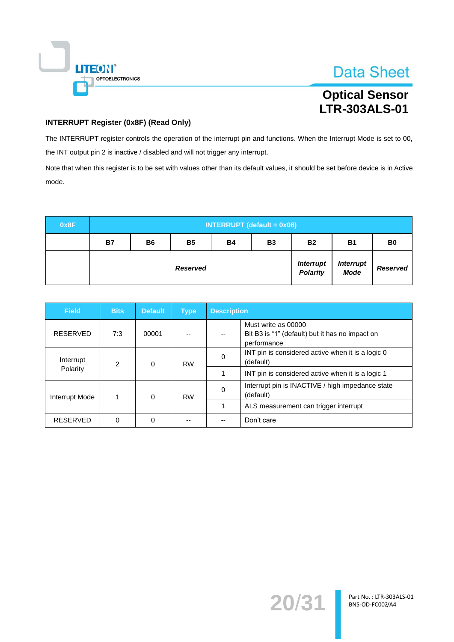

### **Optical Sensor** LTR-303ALS-01

#### **INTERRUPT Register (0x8F) (Read Only)**

The INTERRUPT register controls the operation of the interrupt pin and functions. When the Interrupt Mode is set to 00, the INT output pin 2 is inactive / disabled and will not trigger any interrupt.

Note that when this register is to be set with values other than its default values, it should be set before device is in Active mode.

| 0x8F | <b>INTERRUPT (default = 0x08)</b> |           |                 |           |           |                                     |                                 |                 |  |
|------|-----------------------------------|-----------|-----------------|-----------|-----------|-------------------------------------|---------------------------------|-----------------|--|
|      | <b>B7</b>                         | <b>B6</b> | <b>B5</b>       | <b>B4</b> | <b>B3</b> | <b>B2</b>                           | <b>B1</b>                       | B <sub>0</sub>  |  |
|      |                                   |           | <b>Reserved</b> |           |           | <b>Interrupt</b><br><b>Polarity</b> | <b>Interrupt</b><br><b>Mode</b> | <b>Reserved</b> |  |

| <b>Field</b>    | <b>Bits</b>    | <b>Default</b> | <b>Type</b> | <b>Description</b> |                                                                                       |  |  |
|-----------------|----------------|----------------|-------------|--------------------|---------------------------------------------------------------------------------------|--|--|
| <b>RESERVED</b> | 7:3            | 00001          |             | --                 | Must write as 00000<br>Bit B3 is "1" (default) but it has no impact on<br>performance |  |  |
| Interrupt       | $\mathfrak{p}$ | $\Omega$       | <b>RW</b>   | 0                  | INT pin is considered active when it is a logic 0<br>(default)                        |  |  |
| Polarity        |                |                |             |                    | INT pin is considered active when it is a logic 1                                     |  |  |
| Interrupt Mode  |                | $\Omega$       | <b>RW</b>   | $\mathbf{0}$       | Interrupt pin is INACTIVE / high impedance state<br>(default)                         |  |  |
|                 |                |                |             | 1                  | ALS measurement can trigger interrupt                                                 |  |  |
| <b>RESERVED</b> | $\Omega$       | $\Omega$       |             |                    | Don't care                                                                            |  |  |

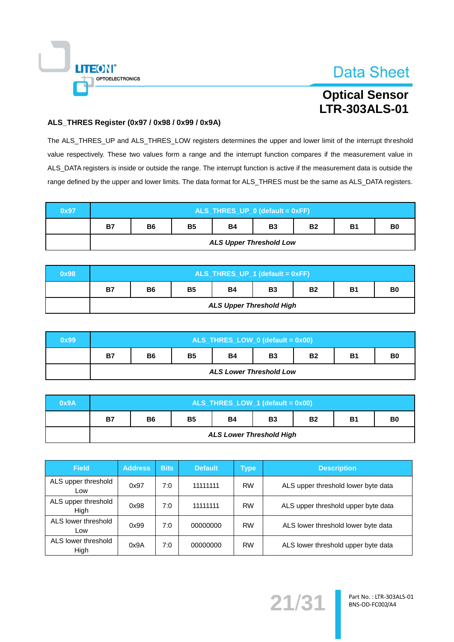

### **Optical Sensor LTR-303ALS-01**

#### ALS\_THRES Register (0x97 / 0x98 / 0x99 / 0x9A)

The ALS\_THRES\_UP and ALS\_THRES\_LOW registers determines the upper and lower limit of the interrupt threshold value respectively. These two values form a range and the interrupt function compares if the measurement value in ALS\_DATA registers is inside or outside the range. The interrupt function is active if the measurement data is outside the range defined by the upper and lower limits. The data format for ALS\_THRES must be the same as ALS\_DATA registers.

| 0x97 | ALS_THRES_UP_0 (default = 0xFF) |                                                                                              |  |  |  |  |  |  |  |  |
|------|---------------------------------|----------------------------------------------------------------------------------------------|--|--|--|--|--|--|--|--|
|      | <b>B7</b>                       | <b>B5</b><br><b>B4</b><br><b>B2</b><br><b>B1</b><br>B <sub>0</sub><br><b>B6</b><br><b>B3</b> |  |  |  |  |  |  |  |  |
|      |                                 | <b>ALS Upper Threshold Low</b>                                                               |  |  |  |  |  |  |  |  |

| 0x98 | ALS_THRES_UP_1 (default = 0xFF) |                                                                                              |  |                                 |  |  |  |  |  |  |
|------|---------------------------------|----------------------------------------------------------------------------------------------|--|---------------------------------|--|--|--|--|--|--|
|      | <b>B7</b>                       | <b>B5</b><br><b>B2</b><br><b>B4</b><br><b>B3</b><br><b>B1</b><br>B <sub>0</sub><br><b>B6</b> |  |                                 |  |  |  |  |  |  |
|      |                                 |                                                                                              |  | <b>ALS Upper Threshold High</b> |  |  |  |  |  |  |

| 0x99 |           | ALS_THRES_LOW_0 (default = 0x00)                                                 |  |  |  |  |  |  |  |  |
|------|-----------|----------------------------------------------------------------------------------|--|--|--|--|--|--|--|--|
|      | <b>B7</b> | <b>B5</b><br><b>B4</b><br><b>B3</b><br><b>B2</b><br><b>B1</b><br><b>B6</b><br>B0 |  |  |  |  |  |  |  |  |
|      |           | <b>ALS Lower Threshold Low</b>                                                   |  |  |  |  |  |  |  |  |

| 0x9A |           | $ALS_$ THRES_LOW_1 (default = 0x00)                                              |  |  |  |  |  |  |  |  |
|------|-----------|----------------------------------------------------------------------------------|--|--|--|--|--|--|--|--|
|      | <b>B7</b> | <b>B5</b><br><b>B2</b><br><b>B4</b><br><b>B6</b><br><b>B3</b><br>B0<br><b>B1</b> |  |  |  |  |  |  |  |  |
|      |           | <b>ALS Lower Threshold High</b>                                                  |  |  |  |  |  |  |  |  |

| <b>Field</b>                | <b>Address</b> | <b>Bits</b> | <b>Default</b> | Type      | <b>Description</b>                  |
|-----------------------------|----------------|-------------|----------------|-----------|-------------------------------------|
| ALS upper threshold<br>Low  | 0x97           | 7:0         | 11111111       | <b>RW</b> | ALS upper threshold lower byte data |
| ALS upper threshold<br>High | 0x98           | 7:0         | 11111111       | <b>RW</b> | ALS upper threshold upper byte data |
| ALS lower threshold<br>Low  | 0x99           | 7:0         | 00000000       | <b>RW</b> | ALS lower threshold lower byte data |
| ALS lower threshold<br>High | 0x9A           | 7:0         | 00000000       | <b>RW</b> | ALS lower threshold upper byte data |

 $21/3$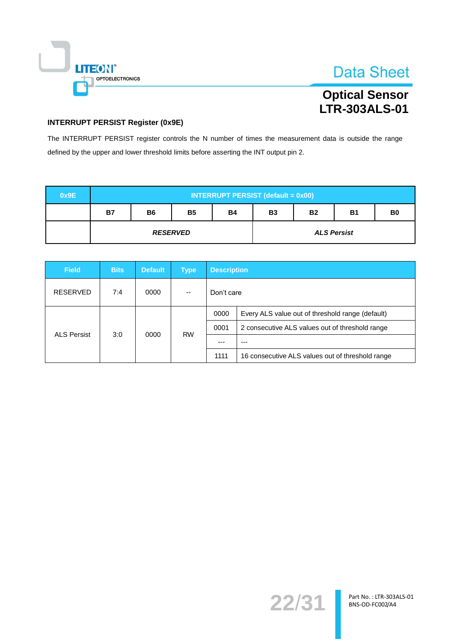

### **Optical Sensor LTR-303ALS-01**

#### **INTERRUPT PERSIST Register (0x9E)**

The INTERRUPT PERSIST register controls the N number of times the measurement data is outside the range defined by the upper and lower threshold limits before asserting the INT output pin 2.

| 0x9E |           | <b>INTERRUPT PERSIST (default = 0x00)</b> |                 |           |           |           |                    |                |  |  |  |
|------|-----------|-------------------------------------------|-----------------|-----------|-----------|-----------|--------------------|----------------|--|--|--|
|      | <b>B7</b> | <b>B6</b>                                 | <b>B5</b>       | <b>B4</b> | <b>B3</b> | <b>B2</b> | <b>B1</b>          | B <sub>0</sub> |  |  |  |
|      |           |                                           | <b>RESERVED</b> |           |           |           | <b>ALS Persist</b> |                |  |  |  |

| <b>Field</b>       | <b>Bits</b> | <b>Default</b> | <b>Type</b> | <b>Description</b>                               |                                                  |  |
|--------------------|-------------|----------------|-------------|--------------------------------------------------|--------------------------------------------------|--|
| <b>RESERVED</b>    | 7:4         | 0000           | --          | Don't care                                       |                                                  |  |
|                    |             |                | 0000        | Every ALS value out of threshold range (default) |                                                  |  |
| <b>ALS Persist</b> |             |                |             | 0001                                             | 2 consecutive ALS values out of threshold range  |  |
| 3:0<br>0000        |             | <b>RW</b>      |             | ---                                              |                                                  |  |
|                    |             |                |             | 1111                                             | 16 consecutive ALS values out of threshold range |  |

22/31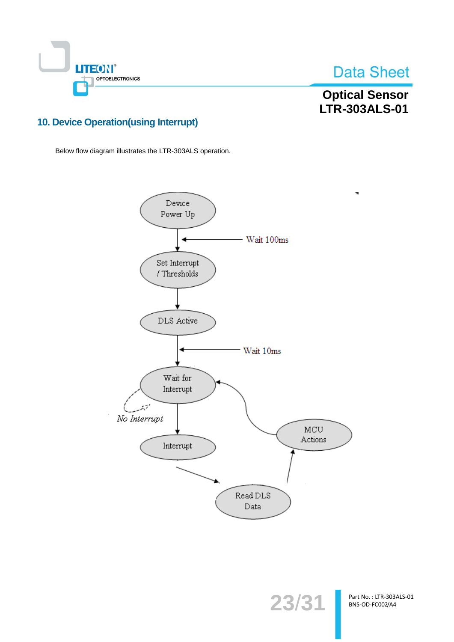

**Optical Sensor** LTR-303ALS-01

### **10. Device Operation(using Interrupt)**

Below flow diagram illustrates the LTR-303ALS operation.

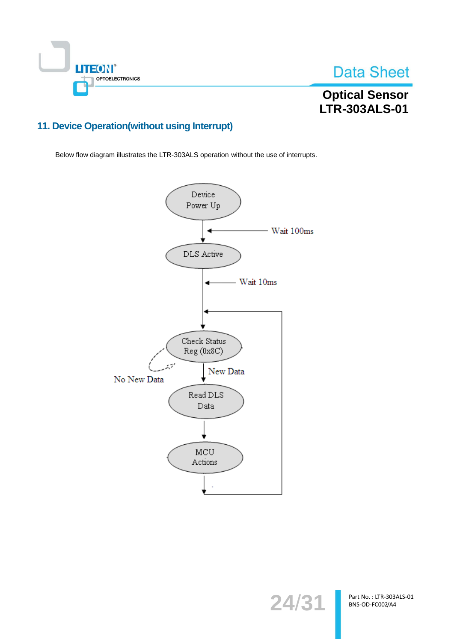

### **Optical Sensor LTR-303ALS-01**

### 11. Device Operation(without using Interrupt)

Below flow diagram illustrates the LTR-303ALS operation without the use of interrupts.



24/31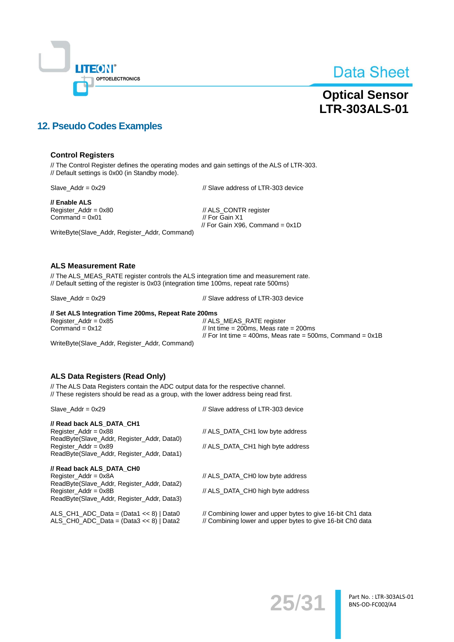

### **Optical Sensor LTR-303ALS-01**

### **12. Pseudo Codes Examples**

#### **Control Registers**

// The Control Register defines the operating modes and gain settings of the ALS of LTR-303. // Default settings is 0x00 (in Standby mode).

 $Slave\_Addr = 0x29$ 

// Slave address of LTR-303 device

// Enable ALS Register\_Addr = 0x80 Command =  $0x01$ 

// ALS\_CONTR register // For Gain X1 // For Gain X96, Command =  $0x1D$ 

WriteByte(Slave\_Addr, Register\_Addr, Command)

#### **ALS Measurement Rate**

// The ALS\_MEAS\_RATE register controls the ALS integration time and measurement rate. // Default setting of the register is 0x03 (integration time 100ms, repeat rate 500ms)

Slave  $Addr = 0x29$ 

// Slave address of LTR-303 device

#### // Set ALS Integration Time 200ms, Repeat Rate 200ms  $Register\_Addr = 0x85$ // ALS\_MEAS\_RATE register // Int time = 200ms, Meas rate =  $200$ ms Command =  $0x12$ // For Int time = 400ms, Meas rate = 500ms, Command =  $0x1B$

WriteByte(Slave\_Addr, Register\_Addr, Command)

#### **ALS Data Registers (Read Only)**

// The ALS Data Registers contain the ADC output data for the respective channel. // These registers should be read as a group, with the lower address being read first.

| Slave Addr = $0x29$                                                                                                                                                         | // Slave address of LTR-303 device                                                                                       |  |
|-----------------------------------------------------------------------------------------------------------------------------------------------------------------------------|--------------------------------------------------------------------------------------------------------------------------|--|
| // Read back ALS DATA CH1<br>Register $Addr = 0x88$<br>ReadByte(Slave_Addr, Register_Addr, Data0)<br>Register Addr = $0x89$<br>ReadByte(Slave_Addr, Register_Addr, Data1)   | // ALS DATA CH1 low byte address<br>// ALS DATA CH1 high byte address                                                    |  |
| // Read back ALS DATA CHO<br>Register $Addr = 0x8A$<br>ReadByte (Slave Addr, Register Addr, Data2)<br>Register $Addr = 0x8B$<br>ReadByte (Slave Addr, Register Addr, Data3) | // ALS DATA CHO low byte address<br>// ALS DATA CHO high byte address                                                    |  |
| ALS CH1 ADC Data = $(Data1 \lt b8)$   Data0<br>ALS CHO ADC Data = $(Data3 \lt 8)$   Data2                                                                                   | // Combining lower and upper bytes to give 16-bit Ch1 data<br>// Combining lower and upper bytes to give 16-bit Ch0 data |  |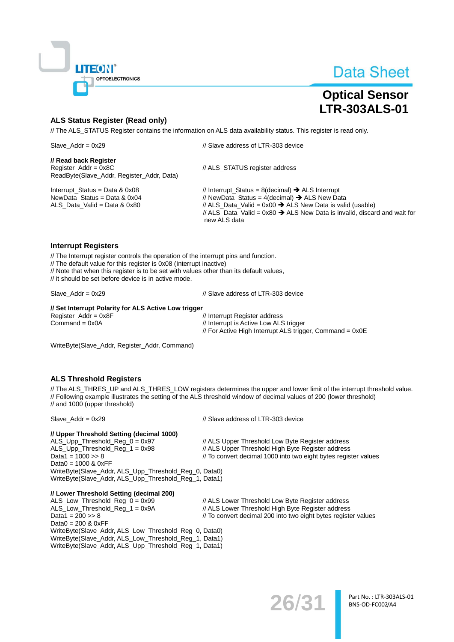

### **Optical Sensor LTR-303ALS-01**

#### **ALS Status Register (Read only)**

// The ALS\_STATUS Register contains the information on ALS data availability status. This register is read only.

| Slave Addr = $0x29$                                                                                  | // Slave address of LTR-303 device                                                                                                                                                                                                                                                                         |  |
|------------------------------------------------------------------------------------------------------|------------------------------------------------------------------------------------------------------------------------------------------------------------------------------------------------------------------------------------------------------------------------------------------------------------|--|
| // Read back Register<br>$Register\_Addr = 0x8C$<br>ReadByte(Slave_Addr, Register_Addr, Data)        | // ALS STATUS register address                                                                                                                                                                                                                                                                             |  |
| Interrupt Status = Data & $0x08$<br>NewData Status = Data & $0x04$<br>ALS Data Valid = Data & $0x80$ | // Interrupt_Status = 8(decimal) $\rightarrow$ ALS Interrupt<br>// NewData Status = 4(decimal) $\rightarrow$ ALS New Data<br>// ALS_Data_Valid = $0x00 \rightarrow$ ALS New Data is valid (usable)<br>// ALS Data Valid = $0x80 \rightarrow$ ALS New Data is invalid, discard and wait for<br>new ALS data |  |

#### **Interrupt Registers**

// The Interrupt register controls the operation of the interrupt pins and function. // The default value for this register is 0x08 (Interrupt inactive) // Note that when this register is to be set with values other than its default values, // it should be set before device is in active mode.

Slave  $Addr = 0x29$ 

// Slave address of LTR-303 device

#### // Set Interrupt Polarity for ALS Active Low trigger

Register\_Addr =  $0x8F$  $Commoned = 0x0A$ 

// Interrupt Register address // Interrupt is Active Low ALS trigger // For Active High Interrupt ALS trigger, Command = 0x0E

WriteByte(Slave\_Addr, Register\_Addr, Command)

#### **ALS Threshold Registers**

// The ALS\_THRES\_UP and ALS\_THRES\_LOW registers determines the upper and lower limit of the interrupt threshold value. // Following example illustrates the setting of the ALS threshold window of decimal values of 200 (lower threshold) // and 1000 (upper threshold)

 $Slave\_Addr = 0x29$ 

// Slave address of LTR-303 device

#### // Upper Threshold Setting (decimal 1000)

ALS\_Upp\_Threshold\_Reg\_0 = 0x97 // ALS Upper Threshold Low Byte Register address ALS\_Upp\_Threshold\_Reg\_1 = 0x98 // ALS Upper Threshold High Byte Register address Data1 =  $1000 \gg 8$ // To convert decimal 1000 into two eight bytes register values Data0 =  $1000$  &  $0xFF$ WriteByte(Slave\_Addr, ALS\_Upp\_Threshold\_Reg\_0, Data0) WriteByte(Slave\_Addr, ALS\_Upp\_Threshold\_Reg\_1, Data1)

#### // Lower Threshold Setting (decimal 200)

ALS\_Low\_Threshold\_Reg\_0 = 0x99<br>ALS\_Low\_Threshold\_Reg\_1 = 0x9A Data1 =  $200 \gg 8$ Data $0 = 200$  &  $0xFF$ WriteByte(Slave Addr, ALS Low Threshold Reg 0, Data0) WriteByte(Slave\_Addr, ALS\_Low\_Threshold\_Reg\_1, Data1) WriteByte(Slave\_Addr, ALS\_Upp\_Threshold\_Reg\_1, Data1)

// ALS Lower Threshold Low Byte Register address // ALS Lower Threshold High Byte Register address

// To convert decimal 200 into two eight bytes register values

 $26/3'$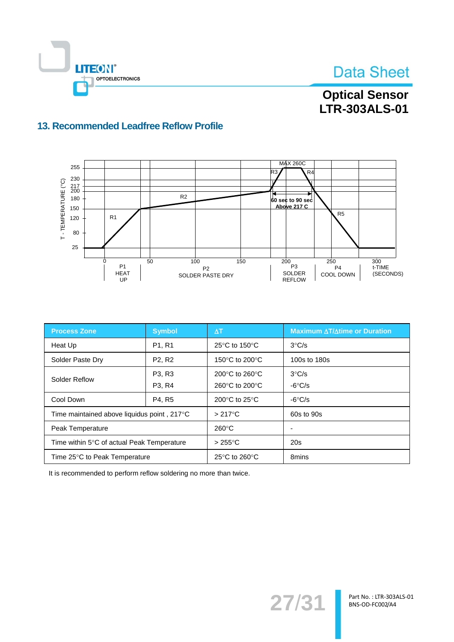

### **Optical Sensor** LTR-303ALS-01

### 13. Recommended Leadfree Reflow Profile



| <b>Process Zone</b>                         | <b>Symbol</b>                   | $\Delta T$                                          | <b>Maximum ∆T/∆time or Duration</b> |
|---------------------------------------------|---------------------------------|-----------------------------------------------------|-------------------------------------|
| Heat Up                                     | P <sub>1</sub> , R <sub>1</sub> | 25 $\mathrm{^{\circ}C}$ to 150 $\mathrm{^{\circ}C}$ | $3^{\circ}$ C/s                     |
| Solder Paste Dry                            | P <sub>2</sub> , R <sub>2</sub> | 150 $\degree$ C to 200 $\degree$ C                  | 100s to 180s                        |
| Solder Reflow                               | P <sub>3</sub> , R <sub>3</sub> | 200 $\degree$ C to 260 $\degree$ C                  | $3^{\circ}$ C/s                     |
|                                             | P <sub>3</sub> , R <sub>4</sub> | 260 $\degree$ C to 200 $\degree$ C                  | $-6^{\circ}$ C/s                    |
| Cool Down                                   | P4, R5                          | 200°C to 25°C                                       | $-6^{\circ}$ C/s                    |
| Time maintained above liquidus point, 217°C |                                 | $>217^{\circ}$ C                                    | 60s to 90s                          |
| Peak Temperature                            |                                 | $260^{\circ}$ C                                     | $\overline{\phantom{0}}$            |
| Time within 5°C of actual Peak Temperature  |                                 | $>255^{\circ}$ C                                    | 20s                                 |
| Time 25°C to Peak Temperature               |                                 | 25 $\mathrm{^{\circ}C}$ to 260 $\mathrm{^{\circ}C}$ | 8mins                               |

It is recommended to perform reflow soldering no more than twice.

27/31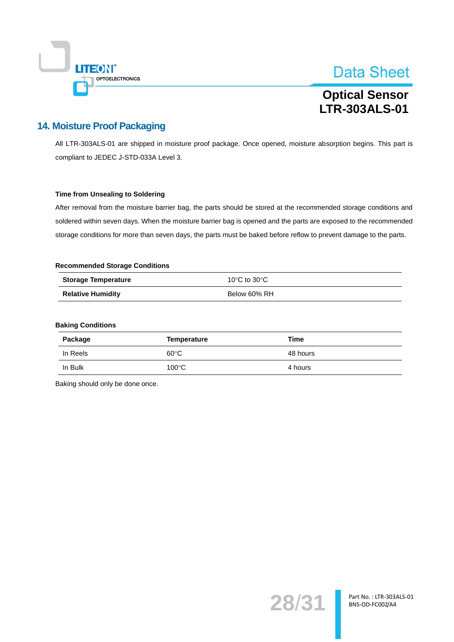

### **Optical Sensor LTR-303ALS-01**

### **14. Moisture Proof Packaging**

All LTR-303ALS-01 are shipped in moisture proof package. Once opened, moisture absorption begins. This part is compliant to JEDEC J-STD-033A Level 3.

#### **Time from Unsealing to Soldering**

After removal from the moisture barrier bag, the parts should be stored at the recommended storage conditions and soldered within seven days. When the moisture barrier bag is opened and the parts are exposed to the recommended storage conditions for more than seven days, the parts must be baked before reflow to prevent damage to the parts.

#### **Recommended Storage Conditions**

| <b>Storage Temperature</b> | 10°C to 30°C |
|----------------------------|--------------|
| <b>Relative Humidity</b>   | Below 60% RH |

#### **Baking Conditions**

| Package  | Temperature     | Time     |
|----------|-----------------|----------|
| In Reels | $60^{\circ}$ C  | 48 hours |
| In Bulk  | $100^{\circ}$ C | 4 hours  |

Baking should only be done once.

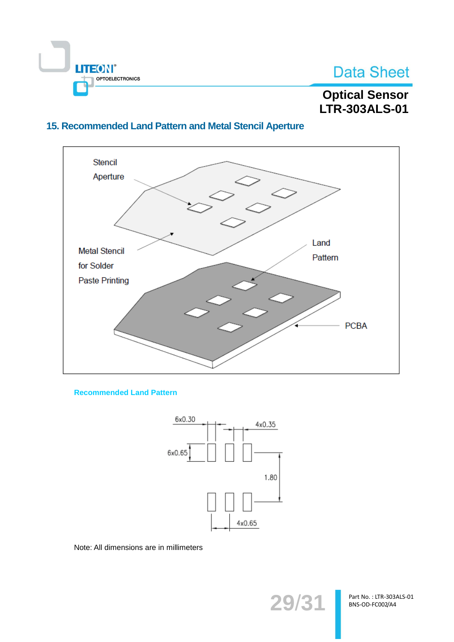

### **Optical Sensor** LTR-303ALS-01

### 15. Recommended Land Pattern and Metal Stencil Aperture



**Recommended Land Pattern** 



Note: All dimensions are in millimeters

29/31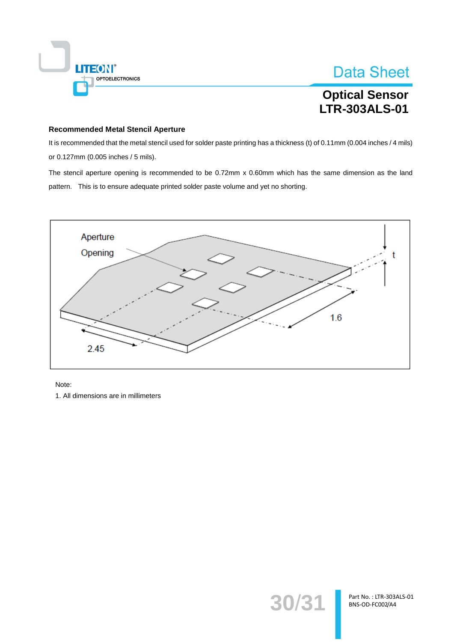

**Optical Sensor LTR-303ALS-01** 

#### **Recommended Metal Stencil Aperture**

It is recommended that the metal stencil used for solder paste printing has a thickness (t) of 0.11mm (0.004 inches / 4 mils) or 0.127mm (0.005 inches / 5 mils).

The stencil aperture opening is recommended to be 0.72mm x 0.60mm which has the same dimension as the land pattern. This is to ensure adequate printed solder paste volume and yet no shorting.



Note:

1. All dimensions are in millimeters